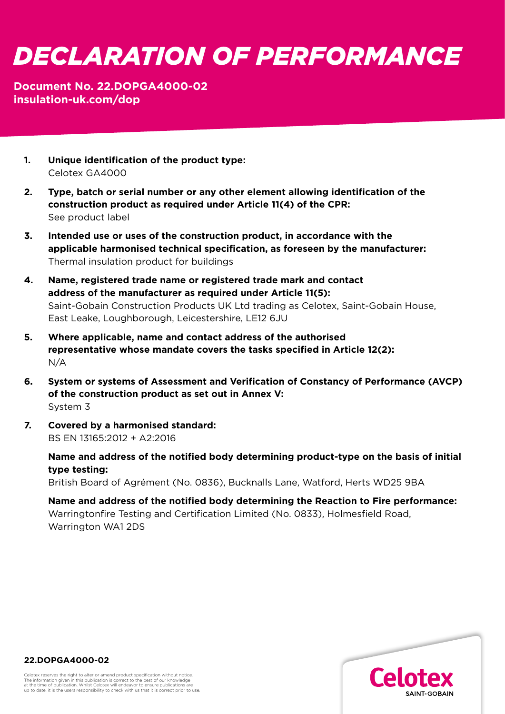## *DECLARATION OF PERFORMANCE*

## **Document No. 22.DOPGA4000-02 [insulation-uk.com/dop](https://insulation-uk.com/technical-services/resources/ce-marking)**

- **1. Unique identification of the product type:**  Celotex GA4000
- **2. Type, batch or serial number or any other element allowing identification of the construction product as required under Article 11(4) of the CPR:** See product label
- **3. Intended use or uses of the construction product, in accordance with the applicable harmonised technical specification, as foreseen by the manufacturer:**  Thermal insulation product for buildings
- **4. Name, registered trade name or registered trade mark and contact address of the manufacturer as required under Article 11(5):**  Saint-Gobain Construction Products UK Ltd trading as Celotex, Saint-Gobain House, East Leake, Loughborough, Leicestershire, LE12 6JU
- **5. Where applicable, name and contact address of the authorised representative whose mandate covers the tasks specified in Article 12(2):**  N/A
- **6. System or systems of Assessment and Verification of Constancy of Performance (AVCP) of the construction product as set out in Annex V:**  System 3
- **7. Covered by a harmonised standard:**  BS EN 13165:2012 + A2:2016

 **Name and address of the notified body determining product-type on the basis of initial type testing:**

British Board of Agrément (No. 0836), Bucknalls Lane, Watford, Herts WD25 9BA

 **Name and address of the notified body determining the Reaction to Fire performance:** Warringtonfire Testing and Certification Limited (No. 0833), Holmesfield Road, Warrington WA1 2DS



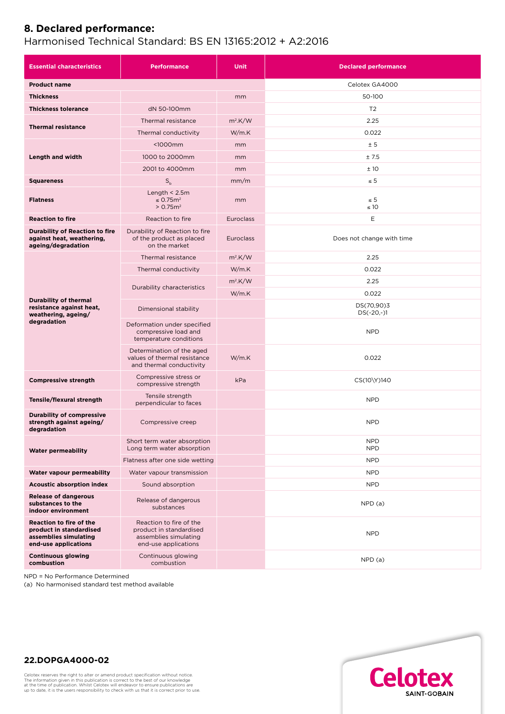## **8. Declared performance:**

## Harmonised Technical Standard: BS EN 13165:2012 + A2:2016

| <b>Essential characteristics</b>                                                                    | <b>Performance</b>                                                                                  | <b>Unit</b>      | <b>Declared performance</b> |
|-----------------------------------------------------------------------------------------------------|-----------------------------------------------------------------------------------------------------|------------------|-----------------------------|
| <b>Product name</b>                                                                                 |                                                                                                     |                  | Celotex GA4000              |
| <b>Thickness</b>                                                                                    |                                                                                                     | mm               | 50-100                      |
| <b>Thickness tolerance</b>                                                                          | dN 50-100mm                                                                                         |                  | T <sub>2</sub>              |
| <b>Thermal resistance</b>                                                                           | Thermal resistance                                                                                  | $m^2$ .K/W       | 2.25                        |
|                                                                                                     | Thermal conductivity                                                                                | W/m.K            | 0.022                       |
| Length and width                                                                                    | $1000mm$                                                                                            | mm               | ± 5                         |
|                                                                                                     | 1000 to 2000mm                                                                                      | mm               | ±7.5                        |
|                                                                                                     | 2001 to 4000mm                                                                                      | mm               | ±10                         |
| <b>Squareness</b>                                                                                   | $S_h$                                                                                               | mm/m             | $\leq 5$                    |
| <b>Flatness</b>                                                                                     | Length $<$ 2.5m<br>$\leq$ 0.75 $m2$<br>> 0.75 m <sup>2</sup>                                        | mm               | $\leq 5$<br>$\leq 10$       |
| <b>Reaction to fire</b>                                                                             | Reaction to fire                                                                                    | <b>Euroclass</b> | Ε                           |
| <b>Durability of Reaction to fire</b><br>against heat, weathering,<br>ageing/degradation            | Durability of Reaction to fire<br>of the product as placed<br>on the market                         | <b>Euroclass</b> | Does not change with time   |
| <b>Durability of thermal</b><br>resistance against heat,<br>weathering, ageing/<br>degradation      | Thermal resistance                                                                                  | $m2$ .K/W        | 2.25                        |
|                                                                                                     | Thermal conductivity                                                                                | W/m.K            | 0.022                       |
|                                                                                                     | Durability characteristics                                                                          | $m^2$ .K/W       | 2.25                        |
|                                                                                                     |                                                                                                     | W/m.K            | 0.022                       |
|                                                                                                     | Dimensional stability                                                                               |                  | DS(70,90)3<br>$DS(-20,-)1$  |
|                                                                                                     | Deformation under specified<br>compressive load and<br>temperature conditions                       |                  | <b>NPD</b>                  |
|                                                                                                     | Determination of the aged<br>values of thermal resistance<br>and thermal conductivity               | W/m.K            | 0.022                       |
| <b>Compressive strength</b>                                                                         | Compressive stress or<br>compressive strength                                                       | kPa              | CS(10\Y)140                 |
| Tensile/flexural strength                                                                           | Tensile strength<br>perpendicular to faces                                                          |                  | <b>NPD</b>                  |
| <b>Durability of compressive</b><br>strength against ageing/<br>degradation                         | Compressive creep                                                                                   |                  | <b>NPD</b>                  |
| <b>Water permeability</b>                                                                           | Short term water absorption<br>Long term water absorption                                           |                  | <b>NPD</b><br><b>NPD</b>    |
|                                                                                                     | Flatness after one side wetting                                                                     |                  | <b>NPD</b>                  |
| Water vapour permeability                                                                           | Water vapour transmission                                                                           |                  | <b>NPD</b>                  |
| <b>Acoustic absorption index</b>                                                                    | Sound absorption                                                                                    |                  | <b>NPD</b>                  |
| <b>Release of dangerous</b><br>substances to the<br>indoor environment                              | Release of dangerous<br>substances                                                                  |                  | NPD(a)                      |
| Reaction to fire of the<br>product in standardised<br>assemblies simulating<br>end-use applications | Reaction to fire of the<br>product in standardised<br>assemblies simulating<br>end-use applications |                  | <b>NPD</b>                  |
| <b>Continuous glowing</b><br>combustion                                                             | Continuous glowing<br>combustion                                                                    |                  | NPD(a)                      |

NPD = No Performance Determined

(a) No harmonised standard test method available



**22.DOPGA4000-02**